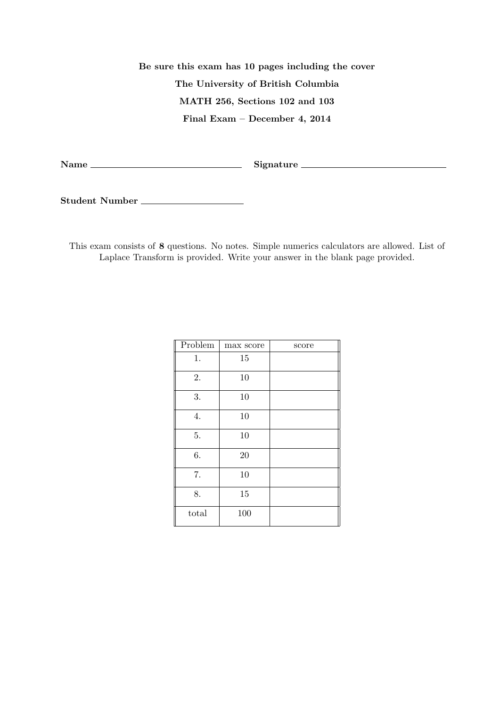**Be sure this exam has 10 pages including the cover The University of British Columbia MATH 256, Sections 102 and 103 Final Exam – December 4, 2014**

**Name Signature**

**Student Number**

This exam consists of **8** questions. No notes. Simple numerics calculators are allowed. List of Laplace Transform is provided. Write your answer in the blank page provided.

| Problem | max score | score |
|---------|-----------|-------|
| 1.      | 15        |       |
| 2.      | 10        |       |
| 3.      | 10        |       |
| 4.      | 10        |       |
| 5.      | 10        |       |
| 6.      | 20        |       |
| 7.      | 10        |       |
| 8.      | 15        |       |
| total   | 100       |       |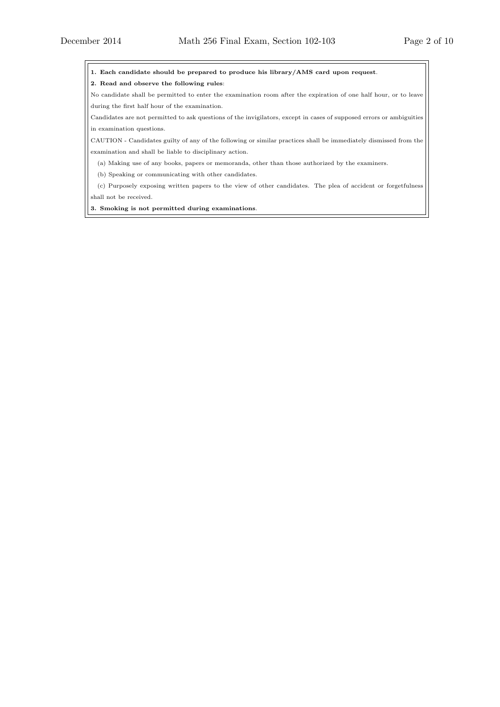**1. Each candidate should be prepared to produce his library/AMS card upon request**.

**2. Read and observe the following rules**:

No candidate shall be permitted to enter the examination room after the expiration of one half hour, or to leave during the first half hour of the examination.

Candidates are not permitted to ask questions of the invigilators, except in cases of supposed errors or ambiguities in examination questions.

CAUTION - Candidates guilty of any of the following or similar practices shall be immediately dismissed from the examination and shall be liable to disciplinary action.

(a) Making use of any books, papers or memoranda, other than those authorized by the examiners.

(b) Speaking or communicating with other candidates.

(c) Purposely exposing written papers to the view of other candidates. The plea of accident or forgetfulness shall not be received.

**3. Smoking is not permitted during examinations**.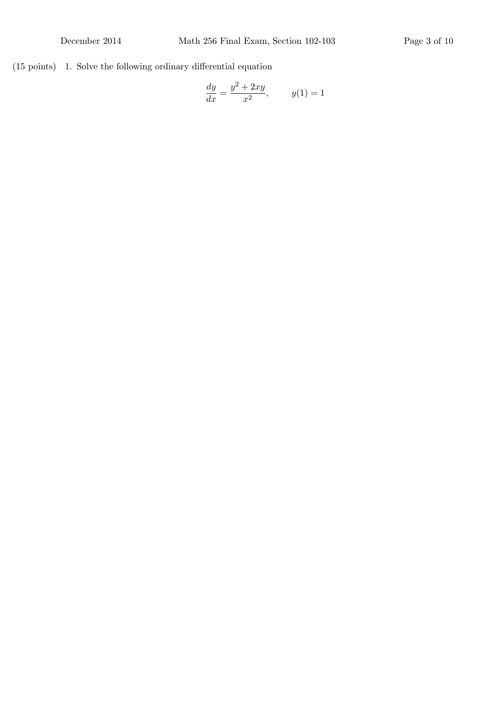(15 points) 1. Solve the following ordinary differential equation

$$
\frac{dy}{dx} = \frac{y^2 + 2xy}{x^2}, \qquad y(1) = 1
$$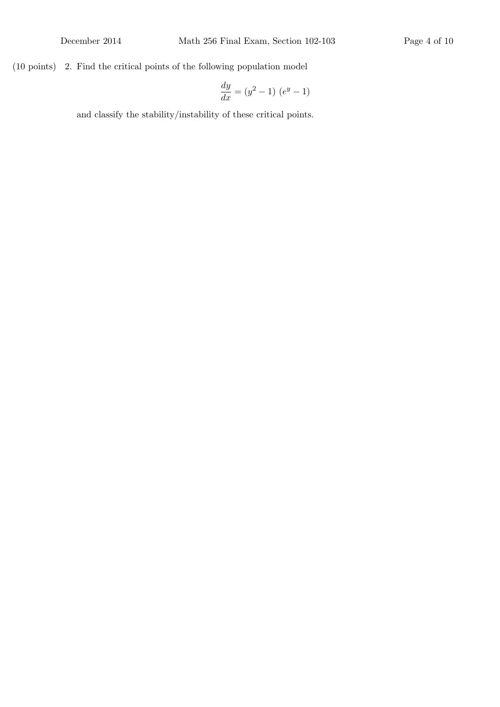## (10 points) 2. Find the critical points of the following population model

$$
\frac{dy}{dx} = (y^2 - 1) (e^y - 1)
$$

and classify the stability/instability of these critical points.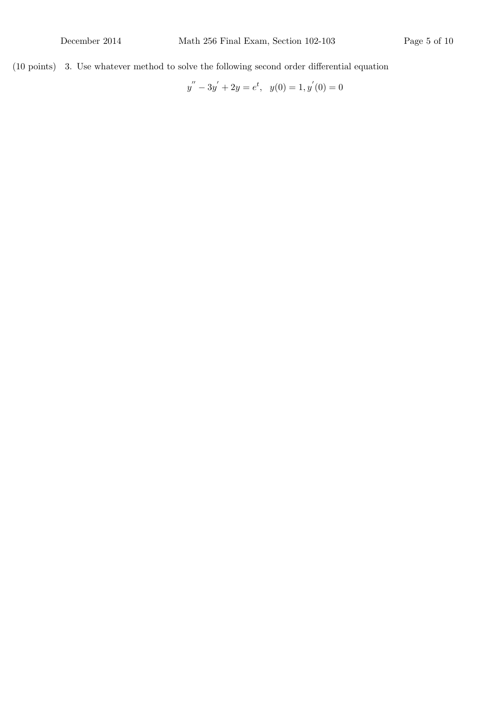(10 points) 3. Use whatever method to solve the following second order differential equation

 $y'' - 3y' + 2y = e^t$ ,  $y(0) = 1$ ,  $y'(0) = 0$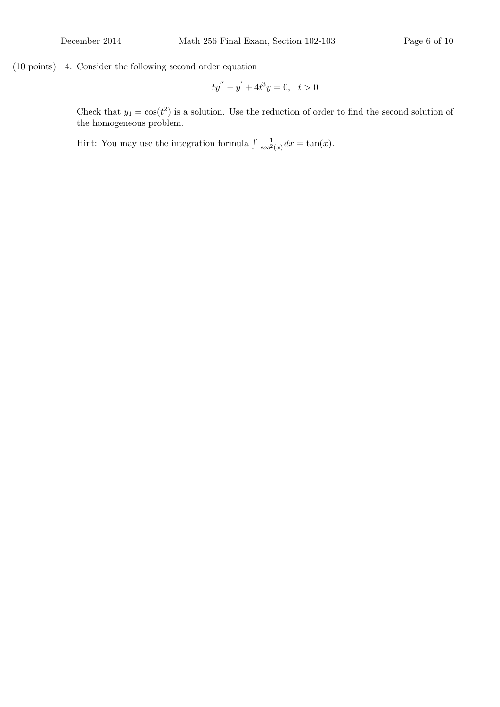(10 points) 4. Consider the following second order equation

$$
ty'' - y' + 4t^3y = 0, \ \ t > 0
$$

Check that  $y_1 = \cos(t^2)$  is a solution. Use the reduction of order to find the second solution of the homogeneous problem.

Hint: You may use the integration formula  $\int \frac{1}{\cos^2(x)} dx = \tan(x)$ .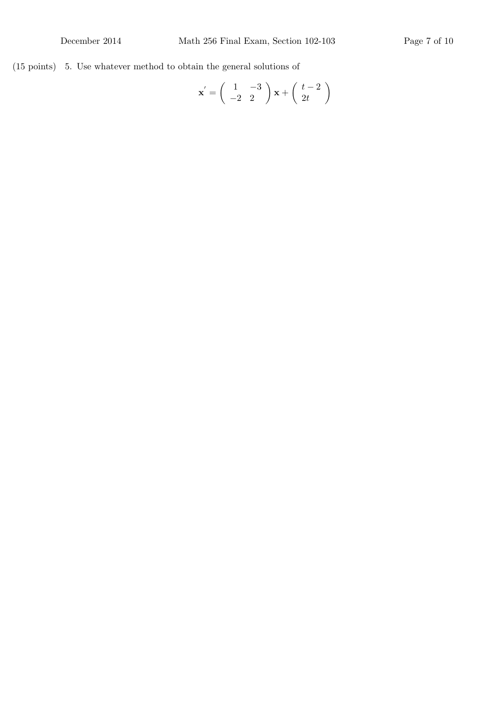(15 points) 5. Use whatever method to obtain the general solutions of

$$
\mathbf{x}' = \begin{pmatrix} 1 & -3 \\ -2 & 2 \end{pmatrix} \mathbf{x} + \begin{pmatrix} t-2 \\ 2t \end{pmatrix}
$$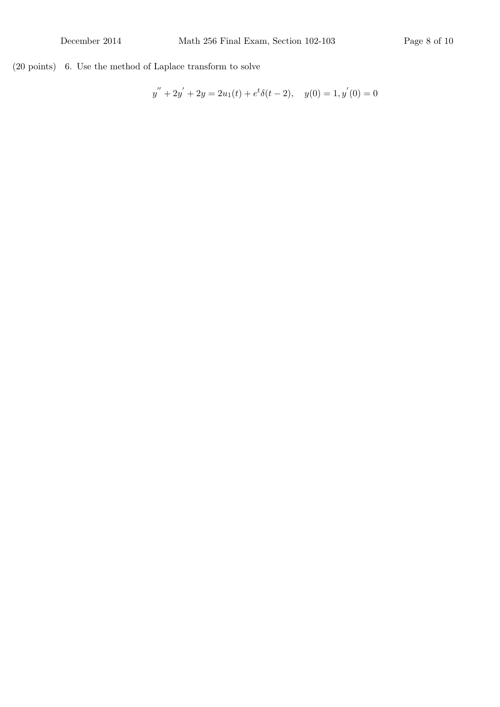(20 points) 6. Use the method of Laplace transform to solve

$$
y'' + 2y' + 2y = 2u_1(t) + e^t \delta(t - 2), \quad y(0) = 1, y'(0) = 0
$$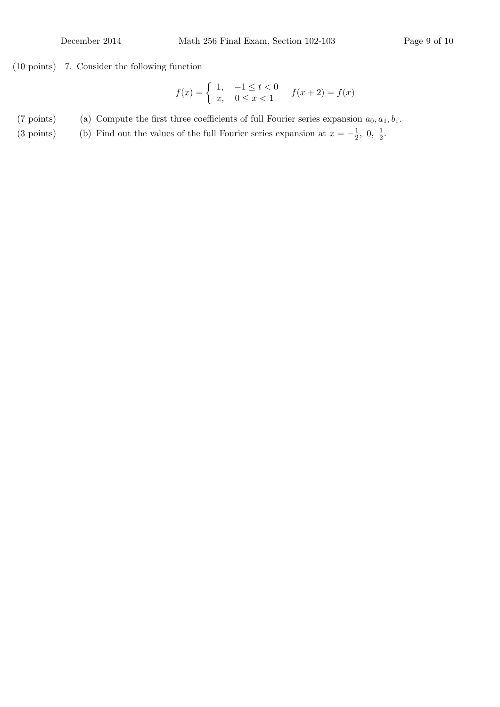## (10 points) 7. Consider the following function

$$
f(x) = \begin{cases} 1, & -1 \le t < 0 \\ x, & 0 \le x < 1 \end{cases} \qquad f(x+2) = f(x)
$$

(7 points) (a) Compute the first three coefficients of full Fourier series expansion  $a_0, a_1, b_1$ .

(3 points) (b) Find out the values of the full Fourier series expansion at  $x = -\frac{1}{2}$  $\frac{1}{2}$ , 0,  $\frac{1}{2}$  $rac{1}{2}$ .